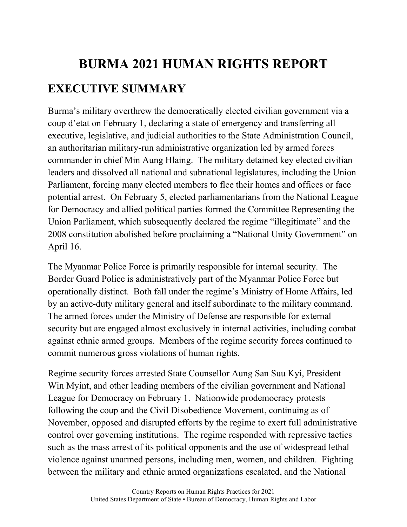## **BURMA 2021 HUMAN RIGHTS REPORT EXECUTIVE SUMMARY**

Burma's military overthrew the democratically elected civilian government via a coup d'etat on February 1, declaring a state of emergency and transferring all executive, legislative, and judicial authorities to the State Administration Council, an authoritarian military-run administrative organization led by armed forces commander in chief Min Aung Hlaing. The military detained key elected civilian leaders and dissolved all national and subnational legislatures, including the Union Parliament, forcing many elected members to flee their homes and offices or face potential arrest. On February 5, elected parliamentarians from the National League for Democracy and allied political parties formed the Committee Representing the Union Parliament, which subsequently declared the regime "illegitimate" and the 2008 constitution abolished before proclaiming a "National Unity Government" on April 16.

The Myanmar Police Force is primarily responsible for internal security. The Border Guard Police is administratively part of the Myanmar Police Force but operationally distinct. Both fall under the regime's Ministry of Home Affairs, led by an active-duty military general and itself subordinate to the military command. The armed forces under the Ministry of Defense are responsible for external security but are engaged almost exclusively in internal activities, including combat against ethnic armed groups. Members of the regime security forces continued to commit numerous gross violations of human rights.

Regime security forces arrested State Counsellor Aung San Suu Kyi, President Win Myint, and other leading members of the civilian government and National League for Democracy on February 1. Nationwide prodemocracy protests following the coup and the Civil Disobedience Movement, continuing as of November, opposed and disrupted efforts by the regime to exert full administrative control over governing institutions. The regime responded with repressive tactics such as the mass arrest of its political opponents and the use of widespread lethal violence against unarmed persons, including men, women, and children. Fighting between the military and ethnic armed organizations escalated, and the National